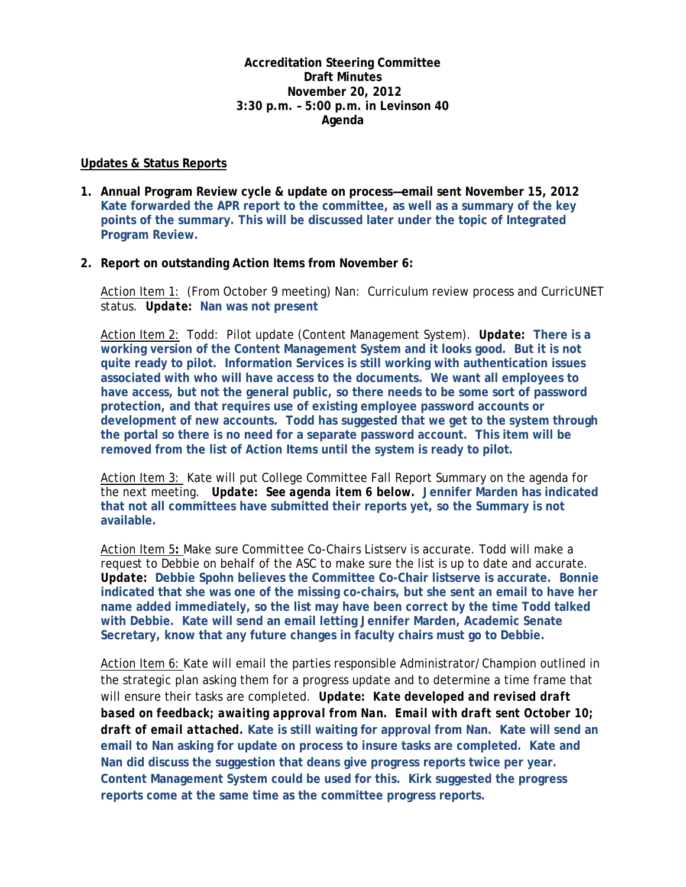**Accreditation Steering Committee Draft Minutes November 20, 2012 3:30 p.m. – 5:00 p.m. in Levinson 40 Agenda**

## **Updates & Status Reports**

**1. Annual Program Review cycle & update on process—email sent November 15, 2012 Kate forwarded the APR report to the committee, as well as a summary of the key points of the summary. This will be discussed later under the topic of Integrated Program Review.**

## **2. Report on outstanding Action Items from November 6:**

Action Item 1: (From October 9 meeting) Nan: Curriculum review process and CurricUNET status. *Update:* **Nan was not present**

Action Item 2: Todd: Pilot update (Content Management System). *Update:* **There is a working version of the Content Management System and it looks good. But it is not quite ready to pilot. Information Services is still working with authentication issues associated with who will have access to the documents. We want all employees to have access, but not the general public, so there needs to be some sort of password protection, and that requires use of existing employee password accounts or development of new accounts. Todd has suggested that we get to the system through the portal so there is no need for a separate password account. This item will be removed from the list of Action Items until the system is ready to pilot.**

Action Item 3: Kate will put College Committee Fall Report Summary on the agenda for the next meeting. *Update: See agenda item 6 below.* **Jennifer Marden has indicated that not all committees have submitted their reports yet, so the Summary is not available.**

Action Item 5**:** Make sure *Committee Co-Chairs* Listserv is accurate. Todd will make a request to Debbie on behalf of the ASC to make sure the list is up to date and accurate. *Update:* **Debbie Spohn believes the Committee Co-Chair listserve is accurate. Bonnie indicated that she was one of the missing co-chairs, but she sent an email to have her name added immediately, so the list may have been correct by the time Todd talked with Debbie. Kate will send an email letting Jennifer Marden, Academic Senate Secretary, know that any future changes in faculty chairs must go to Debbie.**

Action Item 6: Kate will email the parties responsible Administrator/Champion outlined in the strategic plan asking them for a progress update and to determine a time frame that will ensure their tasks are completed. *Update: Kate developed and revised draft based on feedback; awaiting approval from Nan. Email with draft sent October 10; draft of email attached.* **Kate is still waiting for approval from Nan. Kate will send an email to Nan asking for update on process to insure tasks are completed. Kate and Nan did discuss the suggestion that deans give progress reports twice per year. Content Management System could be used for this. Kirk suggested the progress reports come at the same time as the committee progress reports.**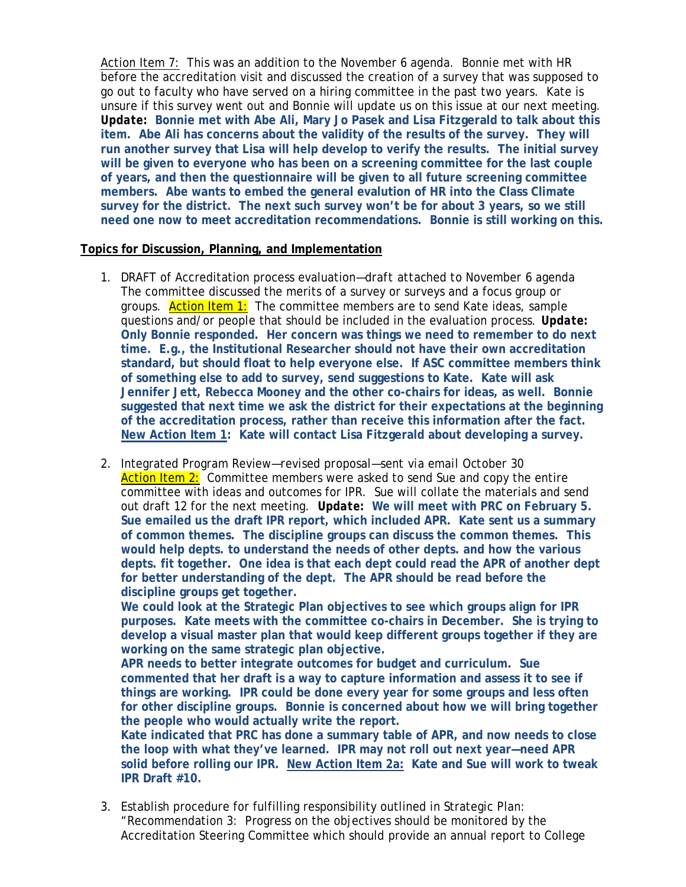Action Item 7: This was an addition to the November 6 agenda. Bonnie met with HR before the accreditation visit and discussed the creation of a survey that was supposed to go out to faculty who have served on a hiring committee in the past two years. Kate is unsure if this survey went out and Bonnie will update us on this issue at our next meeting. *Update:* **Bonnie met with Abe Ali, Mary Jo Pasek and Lisa Fitzgerald to talk about this item. Abe Ali has concerns about the validity of the results of the survey. They will run another survey that Lisa will help develop to verify the results. The initial survey will be given to everyone who has been on a screening committee for the last couple of years, and then the questionnaire will be given to all future screening committee members. Abe wants to embed the general evalution of HR into the Class Climate survey for the district. The next such survey won't be for about 3 years, so we still need one now to meet accreditation recommendations. Bonnie is still working on this.**

## **Topics for Discussion, Planning, and Implementation**

- 1. DRAFT of Accreditation process evaluation—*draft attached to November 6 agenda* The committee discussed the merits of a survey or surveys and a focus group or groups. Action Item 1: The committee members are to send Kate ideas, sample questions and/or people that should be included in the evaluation process. *Update:* **Only Bonnie responded. Her concern was things we need to remember to do next time. E.g., the Institutional Researcher should not have their own accreditation standard, but should float to help everyone else. If ASC committee members think of something else to add to survey, send suggestions to Kate. Kate will ask Jennifer Jett, Rebecca Mooney and the other co-chairs for ideas, as well. Bonnie suggested that next time we ask the district for their expectations at the beginning of the accreditation process, rather than receive this information after the fact. New Action Item 1: Kate will contact Lisa Fitzgerald about developing a survey.**
- 2. Integrated Program Review—*revised proposal—sent via email October 30* Action Item 2: Committee members were asked to send Sue and copy the entire committee with ideas and outcomes for IPR. Sue will collate the materials and send out draft 12 for the next meeting. *Update:* **We will meet with PRC on February 5. Sue emailed us the draft IPR report, which included APR. Kate sent us a summary of common themes. The discipline groups can discuss the common themes. This would help depts. to understand the needs of other depts. and how the various depts. fit together. One idea is that each dept could read the APR of another dept for better understanding of the dept. The APR should be read before the discipline groups get together.**

**We could look at the Strategic Plan objectives to see which groups align for IPR purposes. Kate meets with the committee co-chairs in December. She is trying to develop a visual master plan that would keep different groups together if they are working on the same strategic plan objective.**

**APR needs to better integrate outcomes for budget and curriculum. Sue commented that her draft is a way to capture information and assess it to see if things are working. IPR could be done every year for some groups and less often for other discipline groups. Bonnie is concerned about how we will bring together the people who would actually write the report.**

**Kate indicated that PRC has done a summary table of APR, and now needs to close the loop with what they've learned. IPR may not roll out next year—need APR solid before rolling our IPR. New Action Item 2a: Kate and Sue will work to tweak IPR Draft #10.**

3. Establish procedure for fulfilling responsibility outlined in Strategic Plan: "Recommendation 3: Progress on the objectives should be monitored by the Accreditation Steering Committee which should provide an annual report to College